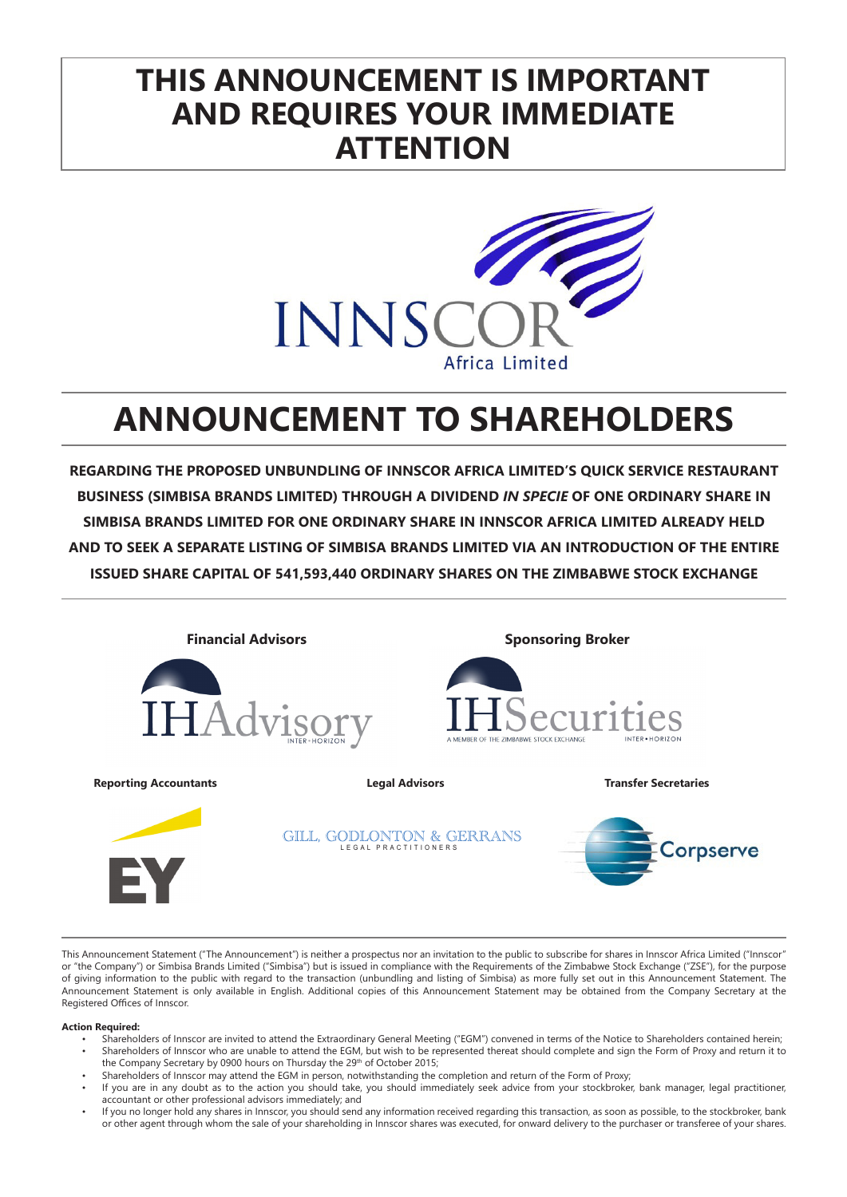# **THIS ANNOUNCEMENT IS IMPORTANT AND REQUIRES YOUR IMMEDIATE ATTENTION**



# **ANNOUNCEMENT TO SHAREHOLDERS**

**REGARDING THE PROPOSED UNBUNDLING OF INNSCOR AFRICA LIMITED'S QUICK SERVICE RESTAURANT BUSINESS (SIMBISA BRANDS LIMITED) THROUGH A DIVIDEND** *IN SPECIE* **OF ONE ORDINARY SHARE IN SIMBISA BRANDS LIMITED FOR ONE ORDINARY SHARE IN INNSCOR AFRICA LIMITED ALREADY HELD AND TO SEEK A SEPARATE LISTING OF SIMBISA BRANDS LIMITED VIA AN INTRODUCTION OF THE ENTIRE ISSUED SHARE CAPITAL OF 541,593,440 ORDINARY SHARES ON THE ZIMBABWE STOCK EXCHANGE**



This Announcement Statement ("The Announcement") is neither a prospectus nor an invitation to the public to subscribe for shares in Innscor Africa Limited ("Innscor" or "the Company") or Simbisa Brands Limited ("Simbisa") but is issued in compliance with the Requirements of the Zimbabwe Stock Exchange ("ZSE"), for the purpose of giving information to the public with regard to the transaction (unbundling and listing of Simbisa) as more fully set out in this Announcement Statement. The Announcement Statement is only available in English. Additional copies of this Announcement Statement may be obtained from the Company Secretary at the Registered Offices of Innscor.

#### **Action Required:**

- Shareholders of Innscor are invited to attend the Extraordinary General Meeting ("EGM") convened in terms of the Notice to Shareholders contained herein; • Shareholders of Innscor who are unable to attend the EGM, but wish to be represented thereat should complete and sign the Form of Proxy and return it to
- the Company Secretary by 0900 hours on Thursday the 29th of October 2015;
- Shareholders of Innscor may attend the EGM in person, notwithstanding the completion and return of the Form of Proxy;
- If you are in any doubt as to the action you should take, you should immediately seek advice from your stockbroker, bank manager, legal practitioner, accountant or other professional advisors immediately; and
- If you no longer hold any shares in Innscor, you should send any information received regarding this transaction, as soon as possible, to the stockbroker, bank or other agent through whom the sale of your shareholding in Innscor shares was executed, for onward delivery to the purchaser or transferee of your shares.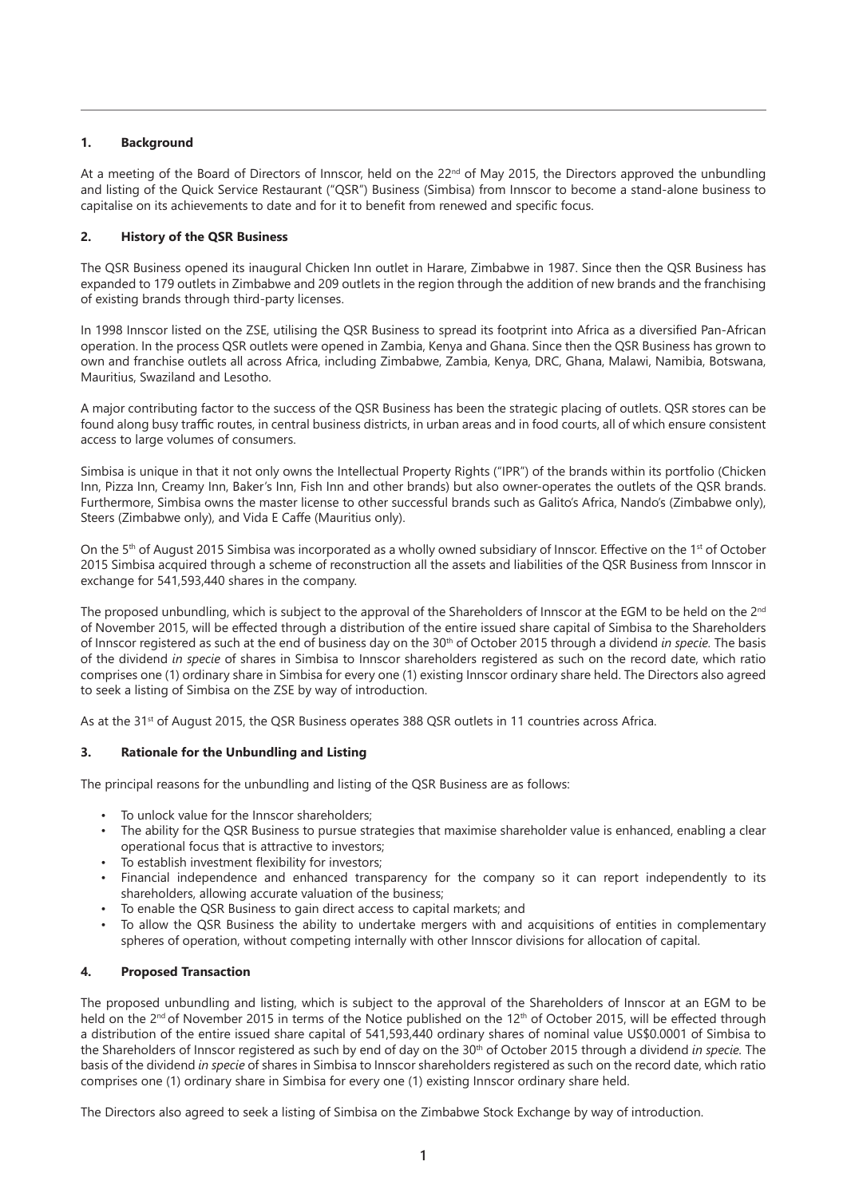# **1. Background**

At a meeting of the Board of Directors of Innscor, held on the  $22^{nd}$  of May 2015, the Directors approved the unbundling and listing of the Quick Service Restaurant ("QSR") Business (Simbisa) from Innscor to become a stand-alone business to capitalise on its achievements to date and for it to benefit from renewed and specific focus.

# **2. History of the QSR Business**

The QSR Business opened its inaugural Chicken Inn outlet in Harare, Zimbabwe in 1987. Since then the QSR Business has expanded to 179 outlets in Zimbabwe and 209 outlets in the region through the addition of new brands and the franchising of existing brands through third-party licenses.

In 1998 Innscor listed on the ZSE, utilising the QSR Business to spread its footprint into Africa as a diversified Pan-African operation. In the process QSR outlets were opened in Zambia, Kenya and Ghana. Since then the QSR Business has grown to own and franchise outlets all across Africa, including Zimbabwe, Zambia, Kenya, DRC, Ghana, Malawi, Namibia, Botswana, Mauritius, Swaziland and Lesotho.

A major contributing factor to the success of the QSR Business has been the strategic placing of outlets. QSR stores can be found along busy traffic routes, in central business districts, in urban areas and in food courts, all of which ensure consistent access to large volumes of consumers.

Simbisa is unique in that it not only owns the Intellectual Property Rights ("IPR") of the brands within its portfolio (Chicken Inn, Pizza Inn, Creamy Inn, Baker's Inn, Fish Inn and other brands) but also owner-operates the outlets of the QSR brands. Furthermore, Simbisa owns the master license to other successful brands such as Galito's Africa, Nando's (Zimbabwe only), Steers (Zimbabwe only), and Vida E Caffe (Mauritius only).

On the 5<sup>th</sup> of August 2015 Simbisa was incorporated as a wholly owned subsidiary of Innscor. Effective on the 1<sup>st</sup> of October 2015 Simbisa acquired through a scheme of reconstruction all the assets and liabilities of the QSR Business from Innscor in exchange for 541,593,440 shares in the company.

The proposed unbundling, which is subject to the approval of the Shareholders of Innscor at the EGM to be held on the  $2^{nd}$ of November 2015, will be effected through a distribution of the entire issued share capital of Simbisa to the Shareholders of Innscor registered as such at the end of business day on the 30th of October 2015 through a dividend *in specie.* The basis of the dividend *in specie* of shares in Simbisa to Innscor shareholders registered as such on the record date, which ratio comprises one (1) ordinary share in Simbisa for every one (1) existing Innscor ordinary share held. The Directors also agreed to seek a listing of Simbisa on the ZSE by way of introduction.

As at the 31<sup>st</sup> of August 2015, the QSR Business operates 388 QSR outlets in 11 countries across Africa.

# **3. Rationale for the Unbundling and Listing**

The principal reasons for the unbundling and listing of the QSR Business are as follows:

- To unlock value for the Innscor shareholders;
- The ability for the QSR Business to pursue strategies that maximise shareholder value is enhanced, enabling a clear operational focus that is attractive to investors;
- To establish investment flexibility for investors;
- Financial independence and enhanced transparency for the company so it can report independently to its shareholders, allowing accurate valuation of the business;
- To enable the QSR Business to gain direct access to capital markets; and
- To allow the QSR Business the ability to undertake mergers with and acquisitions of entities in complementary spheres of operation, without competing internally with other Innscor divisions for allocation of capital.

# **4. Proposed Transaction**

The proposed unbundling and listing, which is subject to the approval of the Shareholders of Innscor at an EGM to be held on the 2<sup>nd</sup> of November 2015 in terms of the Notice published on the 12<sup>th</sup> of October 2015, will be effected through a distribution of the entire issued share capital of 541,593,440 ordinary shares of nominal value US\$0.0001 of Simbisa to the Shareholders of Innscor registered as such by end of day on the 30th of October 2015 through a dividend *in specie.* The basis of the dividend *in specie* of shares in Simbisa to Innscor shareholders registered as such on the record date, which ratio comprises one (1) ordinary share in Simbisa for every one (1) existing Innscor ordinary share held.

The Directors also agreed to seek a listing of Simbisa on the Zimbabwe Stock Exchange by way of introduction.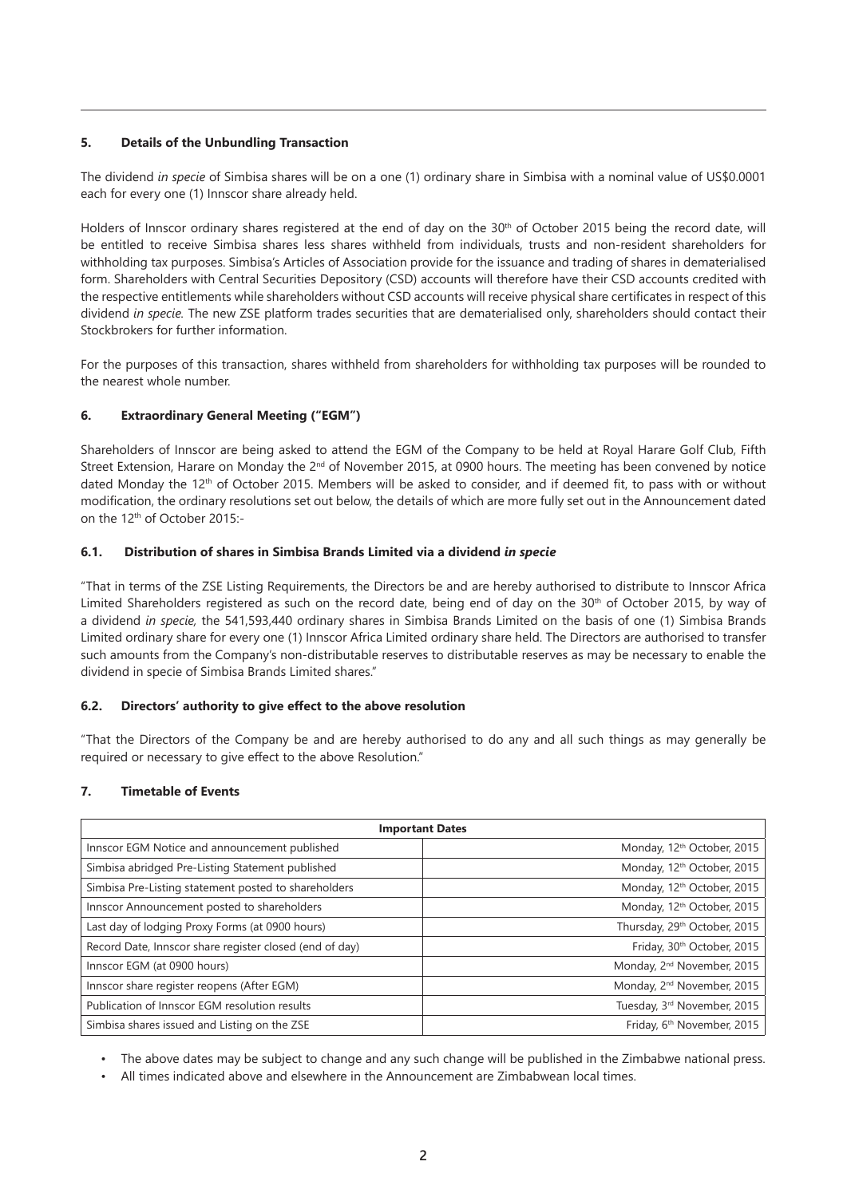# **5. Details of the Unbundling Transaction**

The dividend *in specie* of Simbisa shares will be on a one (1) ordinary share in Simbisa with a nominal value of US\$0.0001 each for every one (1) Innscor share already held.

Holders of Innscor ordinary shares registered at the end of day on the 30th of October 2015 being the record date, will be entitled to receive Simbisa shares less shares withheld from individuals, trusts and non-resident shareholders for withholding tax purposes. Simbisa's Articles of Association provide for the issuance and trading of shares in dematerialised form. Shareholders with Central Securities Depository (CSD) accounts will therefore have their CSD accounts credited with the respective entitlements while shareholders without CSD accounts will receive physical share certificates in respect of this dividend *in specie.* The new ZSE platform trades securities that are dematerialised only, shareholders should contact their Stockbrokers for further information.

For the purposes of this transaction, shares withheld from shareholders for withholding tax purposes will be rounded to the nearest whole number.

# **6. Extraordinary General Meeting ("EGM")**

Shareholders of Innscor are being asked to attend the EGM of the Company to be held at Royal Harare Golf Club, Fifth Street Extension, Harare on Monday the  $2^{nd}$  of November 2015, at 0900 hours. The meeting has been convened by notice dated Monday the 12<sup>th</sup> of October 2015. Members will be asked to consider, and if deemed fit, to pass with or without modification, the ordinary resolutions set out below, the details of which are more fully set out in the Announcement dated on the 12th of October 2015:-

# **6.1. Distribution of shares in Simbisa Brands Limited via a dividend** *in specie*

"That in terms of the ZSE Listing Requirements, the Directors be and are hereby authorised to distribute to Innscor Africa Limited Shareholders registered as such on the record date, being end of day on the 30<sup>th</sup> of October 2015, by way of a dividend *in specie,* the 541,593,440 ordinary shares in Simbisa Brands Limited on the basis of one (1) Simbisa Brands Limited ordinary share for every one (1) Innscor Africa Limited ordinary share held. The Directors are authorised to transfer such amounts from the Company's non-distributable reserves to distributable reserves as may be necessary to enable the dividend in specie of Simbisa Brands Limited shares."

# **6.2. Directors' authority to give effect to the above resolution**

"That the Directors of the Company be and are hereby authorised to do any and all such things as may generally be required or necessary to give effect to the above Resolution."

# **7. Timetable of Events**

| <b>Important Dates</b>                                  |                                         |  |  |
|---------------------------------------------------------|-----------------------------------------|--|--|
| Innscor EGM Notice and announcement published           | Monday, 12 <sup>th</sup> October, 2015  |  |  |
| Simbisa abridged Pre-Listing Statement published        | Monday, 12 <sup>th</sup> October, 2015  |  |  |
| Simbisa Pre-Listing statement posted to shareholders    | Monday, 12 <sup>th</sup> October, 2015  |  |  |
| Innscor Announcement posted to shareholders             | Monday, 12 <sup>th</sup> October, 2015  |  |  |
| Last day of lodging Proxy Forms (at 0900 hours)         | Thursday, 29th October, 2015            |  |  |
| Record Date, Innscor share register closed (end of day) | Friday, 30 <sup>th</sup> October, 2015  |  |  |
| Innscor EGM (at 0900 hours)                             | Monday, 2 <sup>nd</sup> November, 2015  |  |  |
| Innscor share register reopens (After EGM)              | Monday, 2 <sup>nd</sup> November, 2015  |  |  |
| Publication of Innscor EGM resolution results           | Tuesday, 3 <sup>rd</sup> November, 2015 |  |  |
| Simbisa shares issued and Listing on the ZSE            | Friday, 6 <sup>th</sup> November, 2015  |  |  |

• The above dates may be subject to change and any such change will be published in the Zimbabwe national press.

• All times indicated above and elsewhere in the Announcement are Zimbabwean local times.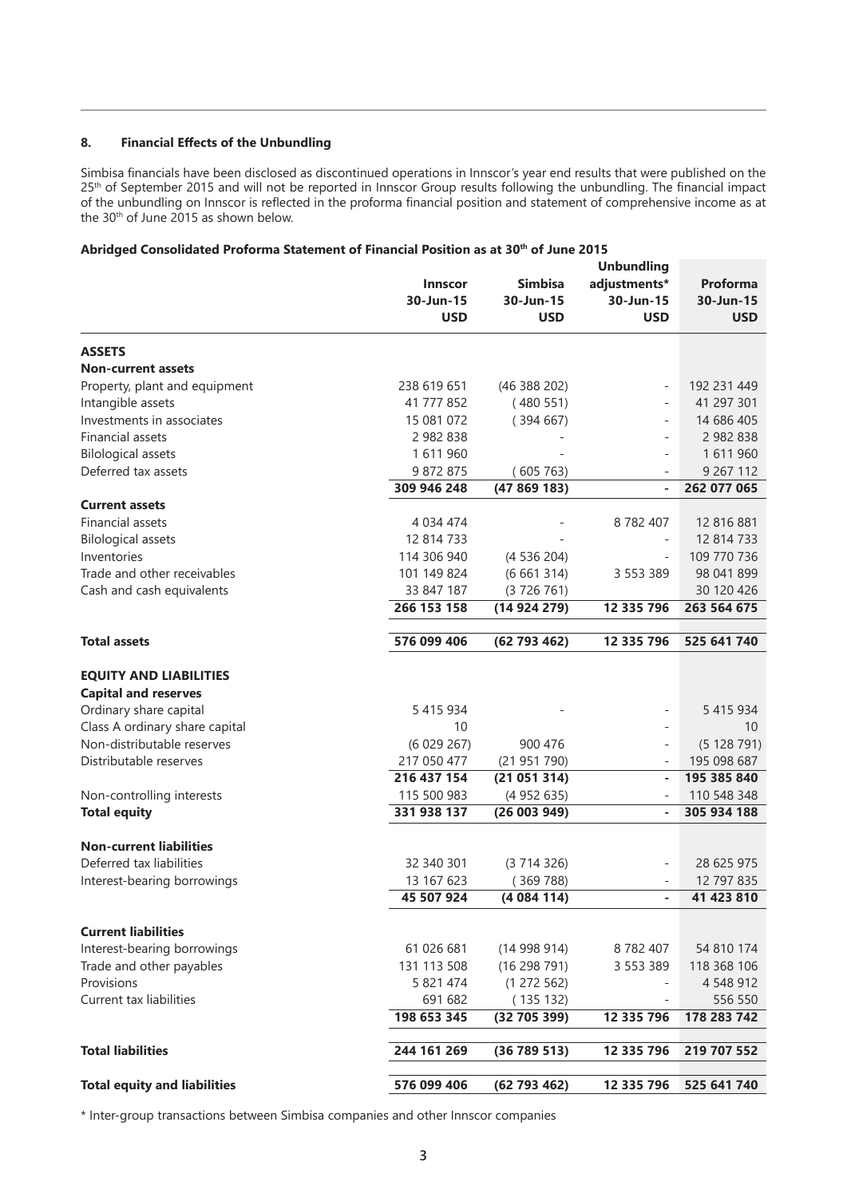# **8. Financial Effects of the Unbundling**

Simbisa financials have been disclosed as discontinued operations in Innscor's year end results that were published on the 25<sup>th</sup> of September 2015 and will not be reported in Innscor Group results following the unbundling. The financial impact of the unbundling on Innscor is reflected in the proforma financial position and statement of comprehensive income as at the 30th of June 2015 as shown below.

# Abridged Consolidated Proforma Statement of Financial Position as at 30<sup>th</sup> of June 2015

|                                                                                                                                                                                  | <b>Innscor</b><br>30-Jun-15<br><b>USD</b>   | <b>Simbisa</b><br>30-Jun-15<br>USD | <b>Unbundling</b><br>adjustments*<br>30-Jun-15<br><b>USD</b>      | <b>Proforma</b><br>30-Jun-15<br><b>USD</b>  |
|----------------------------------------------------------------------------------------------------------------------------------------------------------------------------------|---------------------------------------------|------------------------------------|-------------------------------------------------------------------|---------------------------------------------|
| <b>ASSETS</b>                                                                                                                                                                    |                                             |                                    |                                                                   |                                             |
| <b>Non-current assets</b>                                                                                                                                                        |                                             |                                    |                                                                   |                                             |
| Property, plant and equipment                                                                                                                                                    | 238 619 651                                 | (46 388 202)                       | $\overline{\phantom{0}}$                                          | 192 231 449                                 |
| Intangible assets                                                                                                                                                                | 41 777 852                                  | (480551)                           |                                                                   | 41 297 301                                  |
| Investments in associates                                                                                                                                                        | 15 081 072                                  | (394667)                           |                                                                   | 14 686 405                                  |
| <b>Financial assets</b>                                                                                                                                                          | 2 982 838                                   |                                    | L                                                                 | 2 982 838                                   |
| <b>Bilological assets</b>                                                                                                                                                        | 1611960                                     |                                    | $\bar{ }$                                                         | 1611960                                     |
| Deferred tax assets                                                                                                                                                              | 9 872 875                                   | (605763)                           |                                                                   | 9 267 112                                   |
|                                                                                                                                                                                  | 309 946 248                                 | (47869183)                         | ä,                                                                | 262 077 065                                 |
| <b>Current assets</b>                                                                                                                                                            |                                             |                                    |                                                                   |                                             |
| <b>Financial assets</b>                                                                                                                                                          | 4 0 34 4 74                                 |                                    | 8782407                                                           | 12 816 881                                  |
| <b>Bilological assets</b>                                                                                                                                                        | 12 814 733                                  |                                    |                                                                   | 12 814 733                                  |
| Inventories                                                                                                                                                                      | 114 306 940                                 | (4536204)                          |                                                                   | 109 770 736                                 |
| Trade and other receivables                                                                                                                                                      | 101 149 824                                 | (6661314)                          | 3 5 5 3 3 8 9                                                     | 98 041 899                                  |
| Cash and cash equivalents                                                                                                                                                        | 33 847 187                                  | (3726761)                          |                                                                   | 30 120 426<br>263 564 675                   |
|                                                                                                                                                                                  | 266 153 158                                 | (14924279)                         | 12 335 796                                                        |                                             |
| <b>Total assets</b>                                                                                                                                                              | 576 099 406                                 | (62793462)                         | 12 335 796                                                        | 525 641 740                                 |
| <b>EQUITY AND LIABILITIES</b><br><b>Capital and reserves</b><br>Ordinary share capital<br>Class A ordinary share capital<br>Non-distributable reserves<br>Distributable reserves | 5 415 934<br>10<br>(6029267)<br>217 050 477 | 900 476<br>(21951790)              | $\overline{\phantom{0}}$<br>$\overline{\phantom{0}}$<br>$\bar{ }$ | 5 415 934<br>10<br>(5128791)<br>195 098 687 |
|                                                                                                                                                                                  | 216 437 154                                 | (21051314)                         | ä,                                                                | 195 385 840                                 |
| Non-controlling interests                                                                                                                                                        | 115 500 983                                 | (4952635)                          |                                                                   | 110 548 348                                 |
| <b>Total equity</b>                                                                                                                                                              | 331 938 137                                 | (26003949)                         | ä,                                                                | 305 934 188                                 |
| <b>Non-current liabilities</b>                                                                                                                                                   |                                             |                                    |                                                                   |                                             |
| Deferred tax liabilities                                                                                                                                                         | 32 340 301                                  | (3714326)                          | $\overline{\phantom{0}}$                                          | 28 625 975                                  |
| Interest-bearing borrowings                                                                                                                                                      | 13 167 623                                  | (369788)                           |                                                                   | 12 797 835                                  |
|                                                                                                                                                                                  | 45 507 924                                  | (4084114)                          |                                                                   | 41 423 810                                  |
|                                                                                                                                                                                  |                                             |                                    |                                                                   |                                             |
| <b>Current liabilities</b>                                                                                                                                                       |                                             |                                    |                                                                   |                                             |
| Interest-bearing borrowings                                                                                                                                                      | 61 026 681                                  | (14998914)                         | 8782407                                                           | 54 810 174                                  |
| Trade and other payables                                                                                                                                                         | 131 113 508                                 | (16298791)                         | 3 5 5 3 3 8 9                                                     | 118 368 106                                 |
| Provisions                                                                                                                                                                       | 5 821 474                                   | (1272562)                          |                                                                   | 4 548 912                                   |
| Current tax liabilities                                                                                                                                                          | 691 682                                     | (135132)                           |                                                                   | 556 550                                     |
|                                                                                                                                                                                  | 198 653 345                                 | (32705399)                         | 12 335 796                                                        | 178 283 742                                 |
|                                                                                                                                                                                  |                                             |                                    |                                                                   |                                             |
| <b>Total liabilities</b>                                                                                                                                                         | 244 161 269                                 | (36789513)                         | 12 335 796                                                        | 219 707 552                                 |
| <b>Total equity and liabilities</b>                                                                                                                                              | 576 099 406                                 | (62793462)                         | 12 335 796                                                        | 525 641 740                                 |

\* Inter-group transactions between Simbisa companies and other Innscor companies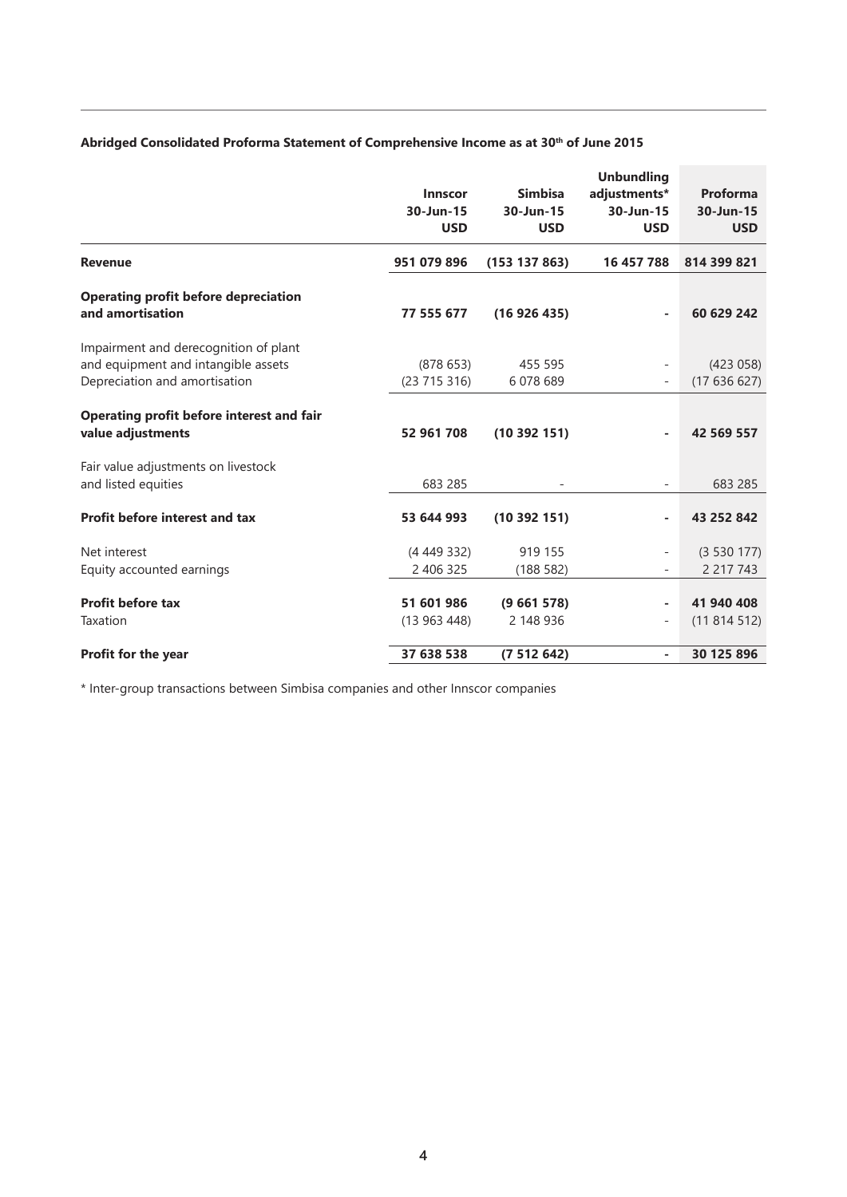# Abridged Consolidated Proforma Statement of Comprehensive Income as at 30<sup>th</sup> of June 2015

|                                                                                                               | <b>Innscor</b><br>30-Jun-15<br><b>USD</b> | <b>Simbisa</b><br>30-Jun-15<br><b>USD</b> | <b>Unbundling</b><br>adjustments*<br>30-Jun-15<br><b>USD</b> | Proforma<br>30-Jun-15<br><b>USD</b> |
|---------------------------------------------------------------------------------------------------------------|-------------------------------------------|-------------------------------------------|--------------------------------------------------------------|-------------------------------------|
| <b>Revenue</b>                                                                                                | 951 079 896                               | (153 137 863)                             | 16 457 788                                                   | 814 399 821                         |
| <b>Operating profit before depreciation</b><br>and amortisation                                               | 77 555 677                                | (16926435)                                |                                                              | 60 629 242                          |
| Impairment and derecognition of plant<br>and equipment and intangible assets<br>Depreciation and amortisation | (878653)<br>(23715316)                    | 455 595<br>6 078 689                      | $\overline{\phantom{a}}$<br>$\overline{\phantom{a}}$         | (423 058)<br>(17636627)             |
| Operating profit before interest and fair<br>value adjustments                                                | 52 961 708                                | (10392151)                                | ۰                                                            | 42 569 557                          |
| Fair value adjustments on livestock<br>and listed equities                                                    | 683 285                                   |                                           | $\overline{\phantom{a}}$                                     | 683 285                             |
| Profit before interest and tax                                                                                | 53 644 993                                | (10392151)                                | ۰                                                            | 43 252 842                          |
| Net interest<br>Equity accounted earnings                                                                     | (4449332)<br>2 406 325                    | 919 155<br>(188582)                       | $\overline{\phantom{0}}$<br>-                                | (3530177)<br>2 2 1 7 7 4 3          |
| <b>Profit before tax</b><br>Taxation                                                                          | 51 601 986<br>(13963448)                  | (9661578)<br>2 148 936                    | ۰<br>$\overline{\phantom{a}}$                                | 41 940 408<br>(11814512)            |
| Profit for the year                                                                                           | 37 638 538                                | (7512642)                                 | $\overline{\phantom{a}}$                                     | 30 125 896                          |

\* Inter-group transactions between Simbisa companies and other Innscor companies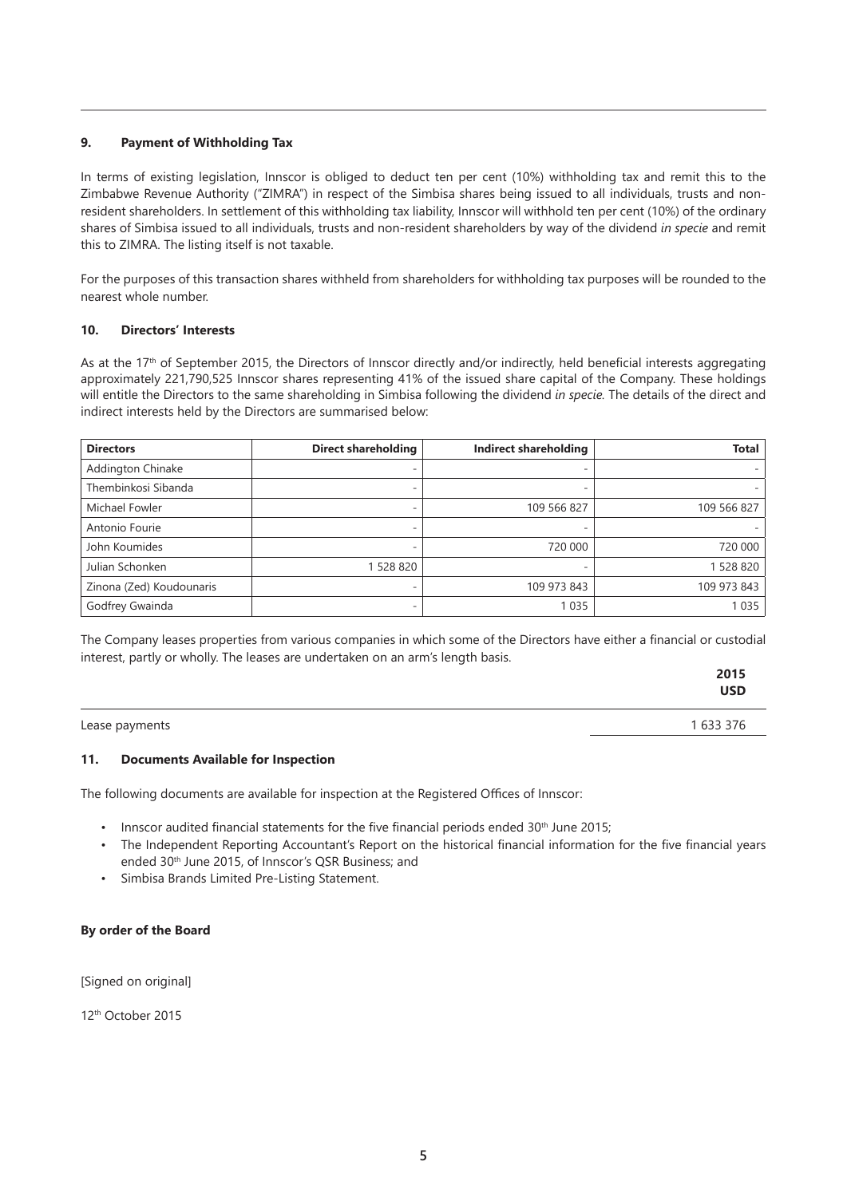# **9. Payment of Withholding Tax**

In terms of existing legislation, Innscor is obliged to deduct ten per cent (10%) withholding tax and remit this to the Zimbabwe Revenue Authority ("ZIMRA") in respect of the Simbisa shares being issued to all individuals, trusts and nonresident shareholders. In settlement of this withholding tax liability, Innscor will withhold ten per cent (10%) of the ordinary shares of Simbisa issued to all individuals, trusts and non-resident shareholders by way of the dividend *in specie* and remit this to ZIMRA. The listing itself is not taxable.

For the purposes of this transaction shares withheld from shareholders for withholding tax purposes will be rounded to the nearest whole number.

# **10. Directors' Interests**

As at the 17<sup>th</sup> of September 2015, the Directors of Innscor directly and/or indirectly, held beneficial interests aggregating approximately 221,790,525 Innscor shares representing 41% of the issued share capital of the Company. These holdings will entitle the Directors to the same shareholding in Simbisa following the dividend *in specie.* The details of the direct and indirect interests held by the Directors are summarised below:

| <b>Directors</b>         | <b>Direct shareholding</b> | Indirect shareholding | Total       |
|--------------------------|----------------------------|-----------------------|-------------|
| <b>Addington Chinake</b> |                            |                       |             |
| Thembinkosi Sibanda      |                            |                       |             |
| Michael Fowler           | -                          | 109 566 827           | 109 566 827 |
| Antonio Fourie           | ۰                          |                       |             |
| John Koumides            |                            | 720 000               | 720 000     |
| Julian Schonken          | 1 528 820                  |                       | 1 528 820   |
| Zinona (Zed) Koudounaris | -                          | 109 973 843           | 109 973 843 |
| Godfrey Gwainda          |                            | 1035                  | 1 0 3 5     |

The Company leases properties from various companies in which some of the Directors have either a financial or custodial interest, partly or wholly. The leases are undertaken on an arm's length basis.

|                | 2015<br><b>USD</b> |
|----------------|--------------------|
| Lease payments | 1 633 376          |

#### **11. Documents Available for Inspection**

The following documents are available for inspection at the Registered Offices of Innscor:

- Innscor audited financial statements for the five financial periods ended 30<sup>th</sup> June 2015;
- The Independent Reporting Accountant's Report on the historical financial information for the five financial years ended 30th June 2015, of Innscor's QSR Business; and
- Simbisa Brands Limited Pre-Listing Statement.

#### **By order of the Board**

[Signed on original]

12th October 2015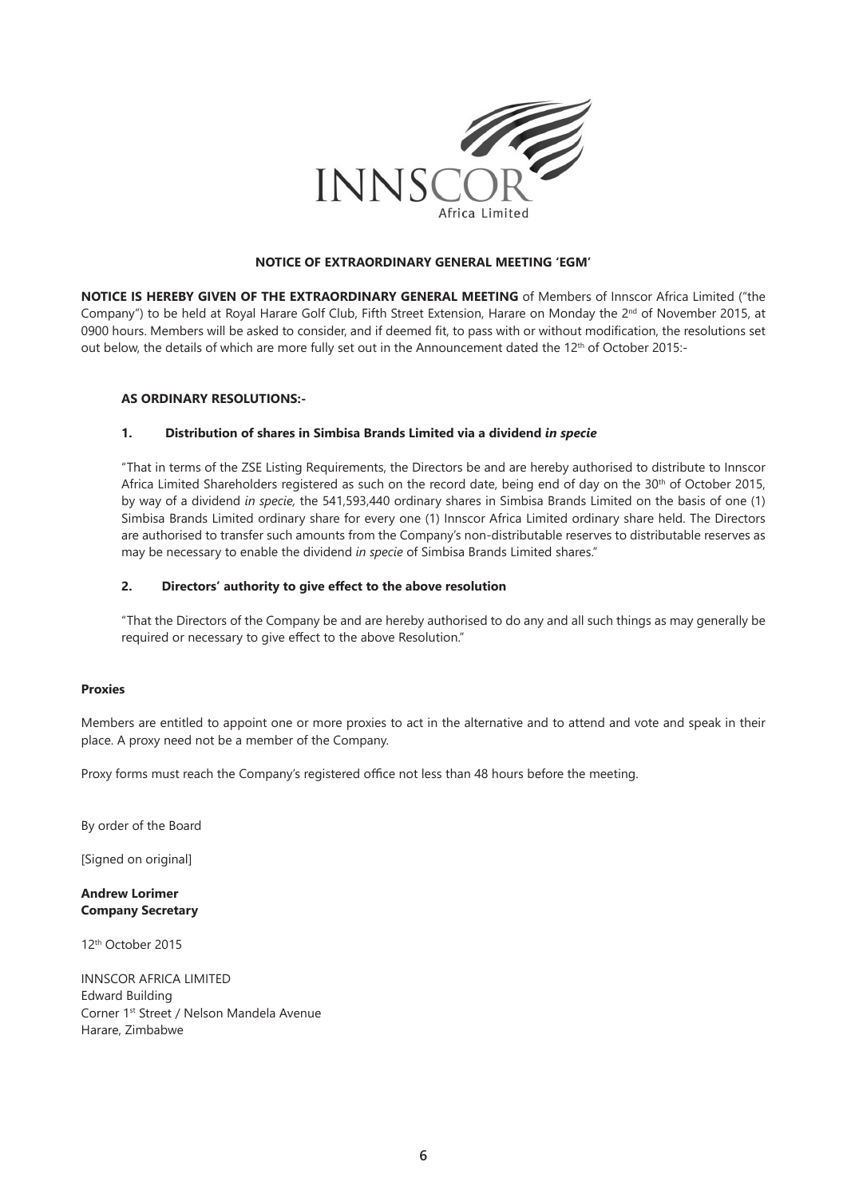

# **NOTICE OF EXTRAORDINARY GENERAL MEETING 'EGM'**

**NOTICE IS HEREBY GIVEN OF THE EXTRAORDINARY GENERAL MEETING** of Members of Innscor Africa Limited ("the Company") to be held at Royal Harare Golf Club, Fifth Street Extension, Harare on Monday the 2<sup>nd</sup> of November 2015, at 0900 hours. Members will be asked to consider, and if deemed fit, to pass with or without modification, the resolutions set out below, the details of which are more fully set out in the Announcement dated the 12<sup>th</sup> of October 2015:-

#### **AS ORDINARY RESOLUTIONS:-**

#### **1. Distribution of shares in Simbisa Brands Limited via a dividend** *in specie*

"That in terms of the ZSE Listing Requirements, the Directors be and are hereby authorised to distribute to Innscor Africa Limited Shareholders registered as such on the record date, being end of day on the  $30<sup>th</sup>$  of October 2015, by way of a dividend *in specie,* the 541,593,440 ordinary shares in Simbisa Brands Limited on the basis of one (1) Simbisa Brands Limited ordinary share for every one (1) Innscor Africa Limited ordinary share held. The Directors are authorised to transfer such amounts from the Company's non-distributable reserves to distributable reserves as may be necessary to enable the dividend *in specie* of Simbisa Brands Limited shares."

#### **2. Directors' authority to give effect to the above resolution**

"That the Directors of the Company be and are hereby authorised to do any and all such things as may generally be required or necessary to give effect to the above Resolution."

#### **Proxies**

Members are entitled to appoint one or more proxies to act in the alternative and to attend and vote and speak in their place. A proxy need not be a member of the Company.

Proxy forms must reach the Company's registered office not less than 48 hours before the meeting.

By order of the Board

[Signed on original]

**Andrew Lorimer Company Secretary**

12th October 2015

INNSCOR AFRICA LIMITED Edward Building Corner 1st Street / Nelson Mandela Avenue Harare, Zimbabwe